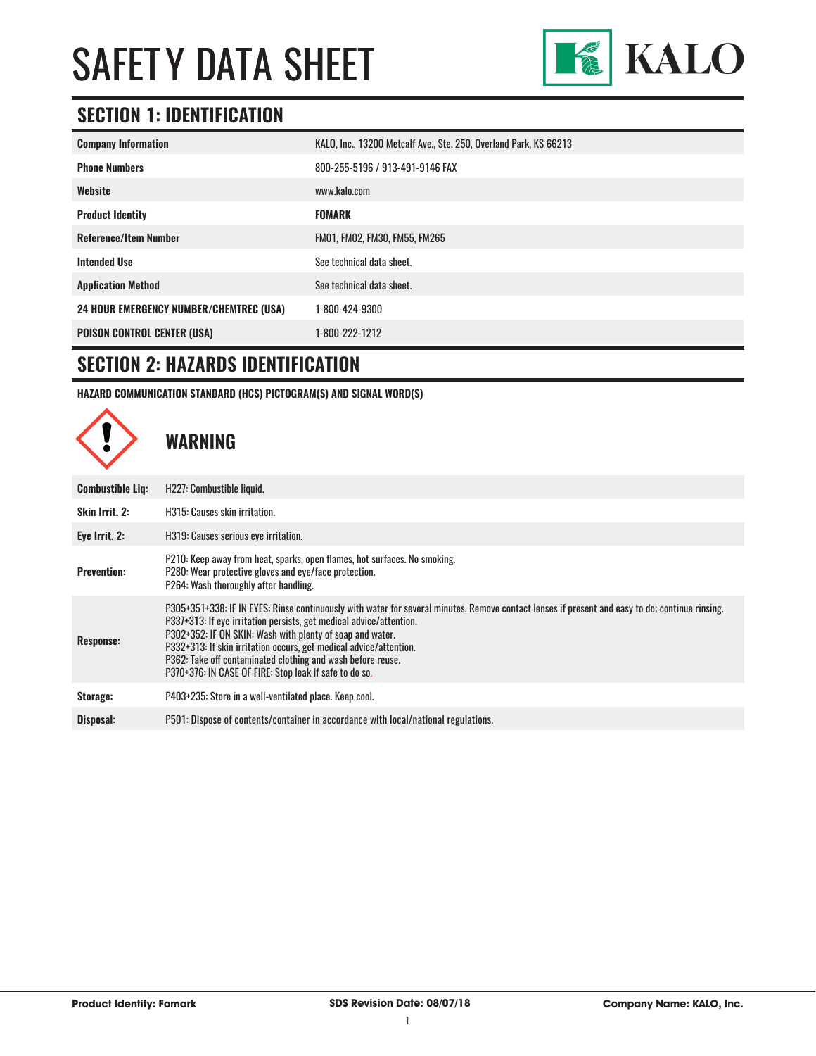

#### **SECTION 1: IDENTIFICATION**

| <b>Company Information</b>                     | KALO, Inc., 13200 Metcalf Ave., Ste. 250, Overland Park, KS 66213 |
|------------------------------------------------|-------------------------------------------------------------------|
| <b>Phone Numbers</b>                           | 800-255-5196 / 913-491-9146 FAX                                   |
| Website                                        | www.kalo.com                                                      |
| <b>Product Identity</b>                        | <b>FOMARK</b>                                                     |
| <b>Reference/Item Number</b>                   | FM01, FM02, FM30, FM55, FM265                                     |
| <b>Intended Use</b>                            | See technical data sheet.                                         |
| <b>Application Method</b>                      | See technical data sheet.                                         |
| <b>24 HOUR EMERGENCY NUMBER/CHEMTREC (USA)</b> | 1-800-424-9300                                                    |
| <b>POISON CONTROL CENTER (USA)</b>             | 1-800-222-1212                                                    |

#### **SECTION 2: HAZARDS IDENTIFICATION**

**HAZARD COMMUNICATION STANDARD (HCS) PICTOGRAM(S) AND SIGNAL WORD(S)**

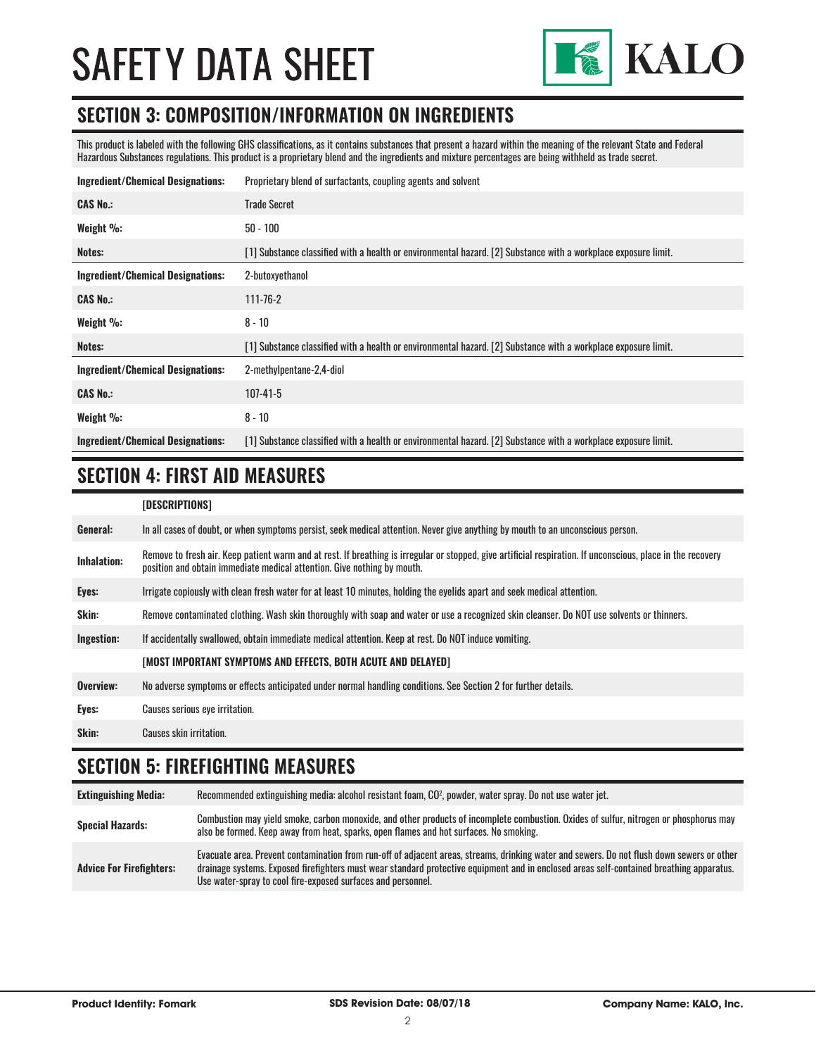

#### **SECTION 3: COMPOSITION/INFORMATION ON INGREDIENTS**

This product is labeled with the following GHS classifications, as it contains substances that present a hazard within the meaning of the relevant State and Federal Hazardous Substances regulations. This product is a proprietary blend and the ingredients and mixture percentages are being withheld as trade secret.

| <b>Ingredient/Chemical Designations:</b> | Proprietary blend of surfactants, coupling agents and solvent                                                  |
|------------------------------------------|----------------------------------------------------------------------------------------------------------------|
| <b>CAS No.:</b>                          | <b>Trade Secret</b>                                                                                            |
| Weight $\%$ :                            | $50 - 100$                                                                                                     |
| Notes:                                   | [1] Substance classified with a health or environmental hazard. [2] Substance with a workplace exposure limit. |
| <b>Ingredient/Chemical Designations:</b> | 2-butoxyethanol                                                                                                |
| <b>CAS No.:</b>                          | $111 - 76 - 2$                                                                                                 |
| Weight $\%$ :                            | $8 - 10$                                                                                                       |
| Notes:                                   | [1] Substance classified with a health or environmental hazard. [2] Substance with a workplace exposure limit. |
| <b>Ingredient/Chemical Designations:</b> | 2-methylpentane-2,4-diol                                                                                       |
| <b>CAS No.:</b>                          | $107 - 41 - 5$                                                                                                 |
| Weight %:                                | $8 - 10$                                                                                                       |
| <b>Ingredient/Chemical Designations:</b> | [1] Substance classified with a health or environmental hazard. [2] Substance with a workplace exposure limit. |

#### **SECTION 4: FIRST AID MEASURES**

| [DESCRIPTIONS] |
|----------------|
|----------------|

| General:           | In all cases of doubt, or when symptoms persist, seek medical attention. Never give anything by mouth to an unconscious person.                                                                                                         |
|--------------------|-----------------------------------------------------------------------------------------------------------------------------------------------------------------------------------------------------------------------------------------|
| <b>Inhalation:</b> | Remove to fresh air. Keep patient warm and at rest. If breathing is irregular or stopped, give artificial respiration. If unconscious, place in the recovery<br>position and obtain immediate medical attention. Give nothing by mouth. |
| Eyes:              | Irrigate copiously with clean fresh water for at least 10 minutes, holding the eyelids apart and seek medical attention.                                                                                                                |
| Skin:              | Remove contaminated clothing. Wash skin thoroughly with soap and water or use a recognized skin cleanser. Do NOT use solvents or thinners.                                                                                              |
| Ingestion:         | If accidentally swallowed, obtain immediate medical attention. Keep at rest. Do NOT induce vomiting.                                                                                                                                    |
|                    | [MOST IMPORTANT SYMPTOMS AND EFFECTS, BOTH ACUTE AND DELAYED]                                                                                                                                                                           |
| Overview:          | No adverse symptoms or effects anticipated under normal handling conditions. See Section 2 for further details.                                                                                                                         |
| Eyes:              | Causes serious eye irritation.                                                                                                                                                                                                          |
| Skin:              | Causes skin irritation.                                                                                                                                                                                                                 |

### **SECTION 5: FIREFIGHTING MEASURES**

| <b>Extinguishing Media:</b>     | Recommended extinguishing media: alcohol resistant foam, CO <sup>2</sup> , powder, water spray. Do not use water jet.                                                                                                                                                                                                                                  |
|---------------------------------|--------------------------------------------------------------------------------------------------------------------------------------------------------------------------------------------------------------------------------------------------------------------------------------------------------------------------------------------------------|
| <b>Special Hazards:</b>         | Combustion may yield smoke, carbon monoxide, and other products of incomplete combustion. Oxides of sulfur, nitrogen or phosphorus may<br>also be formed. Keep away from heat, sparks, open flames and hot surfaces. No smoking.                                                                                                                       |
| <b>Advice For Firefighters:</b> | Evacuate area. Prevent contamination from run-off of adjacent areas, streams, drinking water and sewers. Do not flush down sewers or other<br>drainage systems. Exposed firefighters must wear standard protective equipment and in enclosed areas self-contained breathing apparatus.<br>Use water-spray to cool fire-exposed surfaces and personnel. |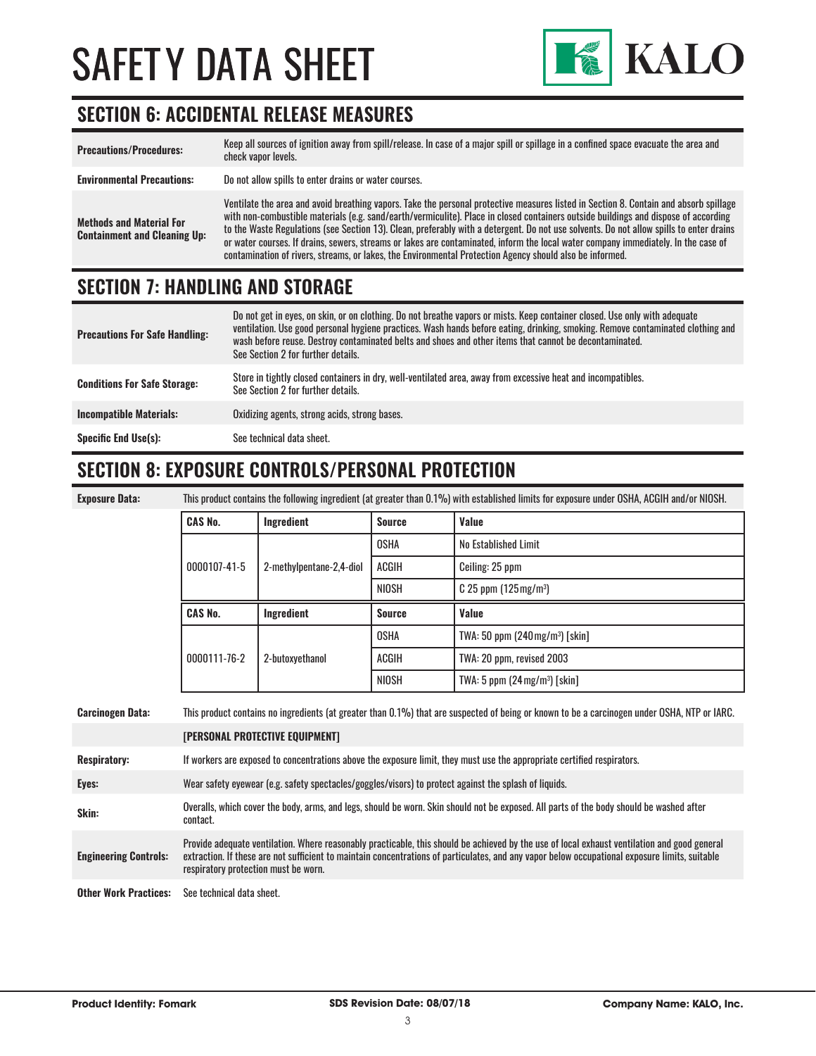

#### **SECTION 6: ACCIDENTAL RELEASE MEASURES**

| <b>Precautions/Procedures:</b>                                         | Keep all sources of ignition away from spill/release. In case of a major spill or spillage in a confined space evacuate the area and<br>check vapor levels.                                                                                                                                                                                                                                                                                                                                                                                                                                                                                                               |
|------------------------------------------------------------------------|---------------------------------------------------------------------------------------------------------------------------------------------------------------------------------------------------------------------------------------------------------------------------------------------------------------------------------------------------------------------------------------------------------------------------------------------------------------------------------------------------------------------------------------------------------------------------------------------------------------------------------------------------------------------------|
| <b>Environmental Precautions:</b>                                      | Do not allow spills to enter drains or water courses.                                                                                                                                                                                                                                                                                                                                                                                                                                                                                                                                                                                                                     |
| <b>Methods and Material For</b><br><b>Containment and Cleaning Up:</b> | Ventilate the area and avoid breathing vapors. Take the personal protective measures listed in Section 8. Contain and absorb spillage<br>with non-combustible materials (e.g. sand/earth/vermiculite). Place in closed containers outside buildings and dispose of according<br>to the Waste Regulations (see Section 13). Clean, preferably with a detergent. Do not use solvents. Do not allow spills to enter drains<br>or water courses. If drains, sewers, streams or lakes are contaminated, inform the local water company immediately. In the case of<br>contamination of rivers, streams, or lakes, the Environmental Protection Agency should also be informed. |

#### **SECTION 7: HANDLING AND STORAGE**

| <b>Precautions For Safe Handling:</b> | Do not get in eyes, on skin, or on clothing. Do not breathe vapors or mists. Keep container closed. Use only with adequate<br>ventilation. Use good personal hygiene practices. Wash hands before eating, drinking, smoking. Remove contaminated clothing and<br>wash before reuse. Destroy contaminated belts and shoes and other items that cannot be decontaminated.<br>See Section 2 for further details. |
|---------------------------------------|---------------------------------------------------------------------------------------------------------------------------------------------------------------------------------------------------------------------------------------------------------------------------------------------------------------------------------------------------------------------------------------------------------------|
| <b>Conditions For Safe Storage:</b>   | Store in tightly closed containers in dry, well-ventilated area, away from excessive heat and incompatibles.<br>See Section 2 for further details.                                                                                                                                                                                                                                                            |
| <b>Incompatible Materials:</b>        | Oxidizing agents, strong acids, strong bases.                                                                                                                                                                                                                                                                                                                                                                 |
| <b>Specific End Use(s):</b>           | See technical data sheet.                                                                                                                                                                                                                                                                                                                                                                                     |

#### **SECTION 8: EXPOSURE CONTROLS/PERSONAL PROTECTION**

| <b>Exposure Data</b> |  |
|----------------------|--|
|                      |  |

**Exposure Data:** This product contains the following ingredient (at greater than 0.1%) with established limits for exposure under OSHA, ACGIH and/or NIOSH.

| <b>CAS No.</b> | Ingredient               | <b>Source</b> | Value                                       |
|----------------|--------------------------|---------------|---------------------------------------------|
| 0000107-41-5   |                          | OSHA          | No Established Limit                        |
|                | 2-methylpentane-2,4-diol | ACGIH         | Ceiling: 25 ppm                             |
|                |                          | NIOSH         | $C$ 25 ppm (125 mg/m <sup>3</sup> )         |
|                |                          |               |                                             |
| <b>CAS No.</b> | Ingredient               | <b>Source</b> | Value                                       |
|                |                          | <b>OSHA</b>   | TWA: 50 ppm (240 mg/m <sup>3</sup> ) [skin] |
| 0000111-76-2   | 2-butoxyethanol          | <b>ACGIH</b>  | TWA: 20 ppm, revised 2003                   |

| <b>Carcinogen Data:</b>      | This product contains no ingredients (at greater than 0.1%) that are suspected of being or known to be a carcinogen under OSHA, NTP or IARC.                                                                                                                                                                                           |  |
|------------------------------|----------------------------------------------------------------------------------------------------------------------------------------------------------------------------------------------------------------------------------------------------------------------------------------------------------------------------------------|--|
|                              | [PERSONAL PROTECTIVE EQUIPMENT]                                                                                                                                                                                                                                                                                                        |  |
| <b>Respiratory:</b>          | If workers are exposed to concentrations above the exposure limit, they must use the appropriate certified respirators.                                                                                                                                                                                                                |  |
| Eyes:                        | Wear safety eyewear (e.g. safety spectacles/goggles/visors) to protect against the splash of liquids.                                                                                                                                                                                                                                  |  |
| Skin:                        | Overalls, which cover the body, arms, and legs, should be worn. Skin should not be exposed. All parts of the body should be washed after<br>contact.                                                                                                                                                                                   |  |
| <b>Engineering Controls:</b> | Provide adequate ventilation. Where reasonably practicable, this should be achieved by the use of local exhaust ventilation and good general<br>extraction. If these are not sufficient to maintain concentrations of particulates, and any vapor below occupational exposure limits, suitable<br>respiratory protection must be worn. |  |
| <b>Other Work Practices:</b> | See technical data sheet.                                                                                                                                                                                                                                                                                                              |  |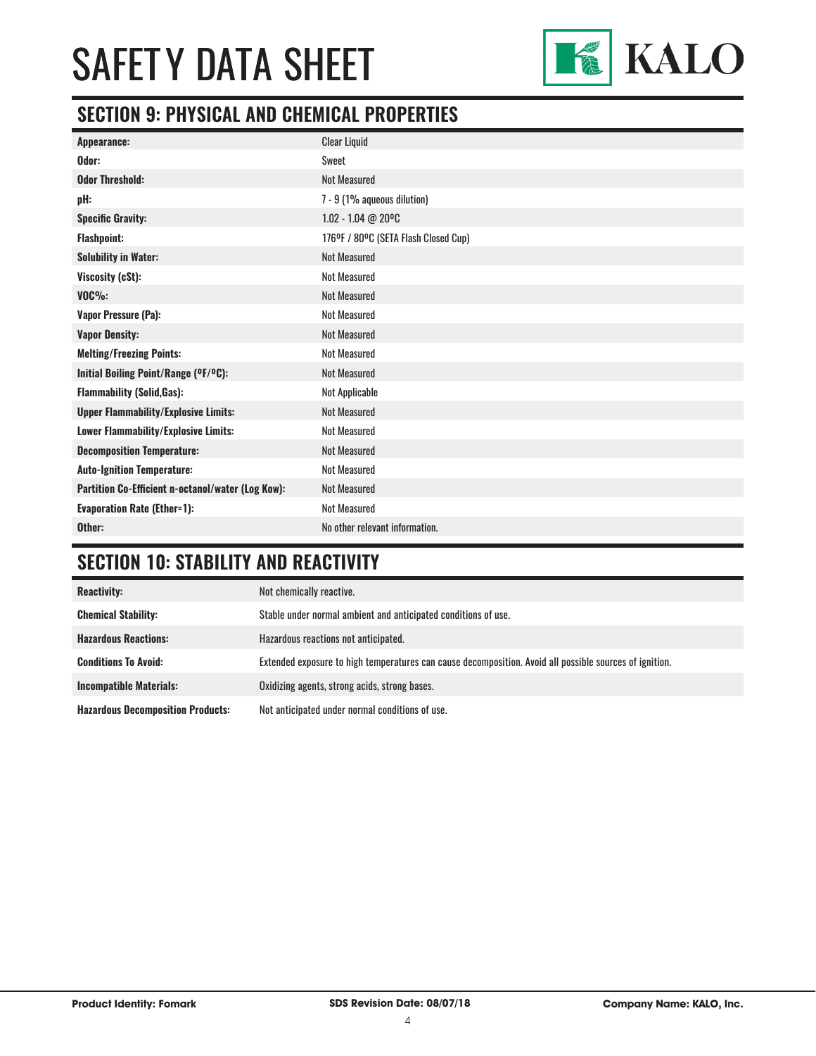

#### **SECTION 9: PHYSICAL AND CHEMICAL PROPERTIES**

| <b>Clear Liquid</b>                  |
|--------------------------------------|
| Sweet                                |
| <b>Not Measured</b>                  |
| 7 - 9 (1% aqueous dilution)          |
| $1.02 - 1.04$ @ 20°C                 |
| 176°F / 80°C (SETA Flash Closed Cup) |
| <b>Not Measured</b>                  |
| <b>Not Measured</b>                  |
| <b>Not Measured</b>                  |
| <b>Not Measured</b>                  |
| <b>Not Measured</b>                  |
| <b>Not Measured</b>                  |
| <b>Not Measured</b>                  |
| Not Applicable                       |
| <b>Not Measured</b>                  |
| <b>Not Measured</b>                  |
| <b>Not Measured</b>                  |
| <b>Not Measured</b>                  |
| <b>Not Measured</b>                  |
| <b>Not Measured</b>                  |
| No other relevant information.       |
|                                      |

### **SECTION 10: STABILITY AND REACTIVITY**

| <b>Reactivity:</b>                       | Not chemically reactive.                                                                                |
|------------------------------------------|---------------------------------------------------------------------------------------------------------|
| <b>Chemical Stability:</b>               | Stable under normal ambient and anticipated conditions of use.                                          |
| <b>Hazardous Reactions:</b>              | Hazardous reactions not anticipated.                                                                    |
| <b>Conditions To Avoid:</b>              | Extended exposure to high temperatures can cause decomposition. Avoid all possible sources of ignition. |
| <b>Incompatible Materials:</b>           | Oxidizing agents, strong acids, strong bases.                                                           |
| <b>Hazardous Decomposition Products:</b> | Not anticipated under normal conditions of use.                                                         |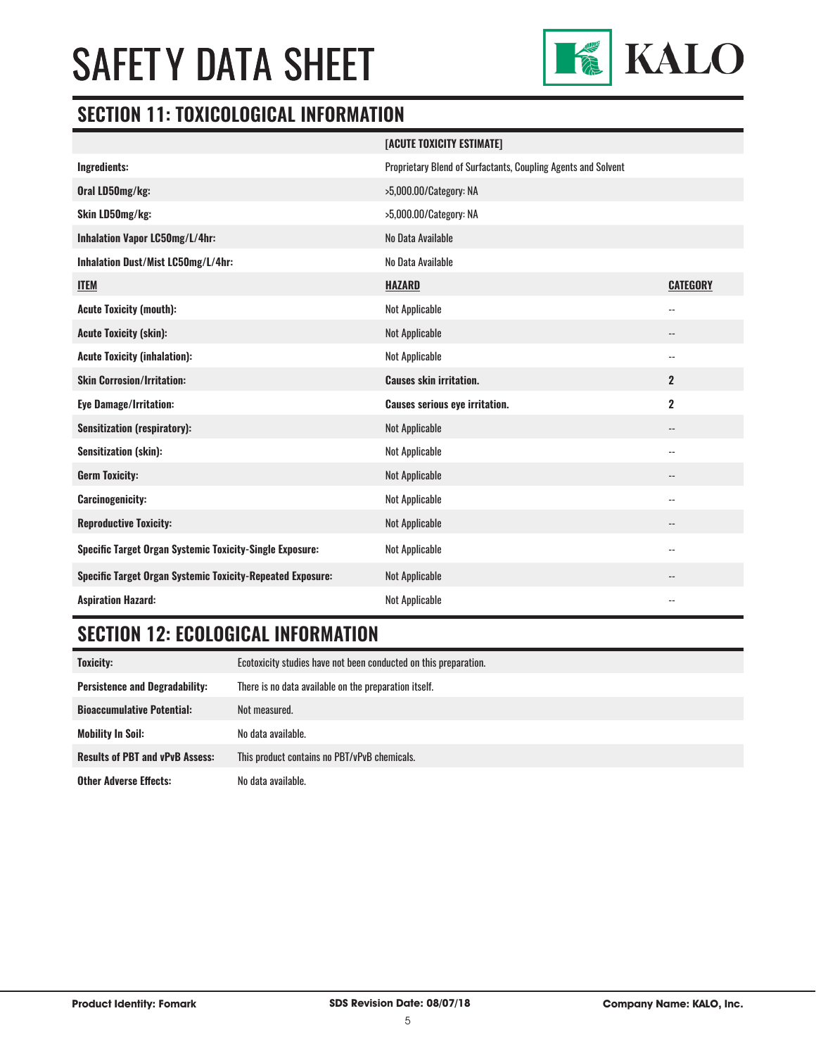

#### **SECTION 11: TOXICOLOGICAL INFORMATION**

|                                                                   | [ACUTE TOXICITY ESTIMATE]                                     |                 |
|-------------------------------------------------------------------|---------------------------------------------------------------|-----------------|
| Ingredients:                                                      | Proprietary Blend of Surfactants, Coupling Agents and Solvent |                 |
| Oral LD50mg/kg:                                                   | >5,000.00/Category: NA                                        |                 |
| Skin LD50mg/kg:                                                   | >5,000.00/Category: NA                                        |                 |
| Inhalation Vapor LC50mg/L/4hr:                                    | No Data Available                                             |                 |
| Inhalation Dust/Mist LC50mg/L/4hr:                                | No Data Available                                             |                 |
| <b>ITEM</b>                                                       | <b>HAZARD</b>                                                 | <b>CATEGORY</b> |
| <b>Acute Toxicity (mouth):</b>                                    | <b>Not Applicable</b>                                         | --              |
| <b>Acute Toxicity (skin):</b>                                     | <b>Not Applicable</b>                                         | --              |
| <b>Acute Toxicity (inhalation):</b>                               | Not Applicable                                                | --              |
| <b>Skin Corrosion/Irritation:</b>                                 | <b>Causes skin irritation.</b>                                | $\mathbf{2}$    |
| <b>Eye Damage/Irritation:</b>                                     | <b>Causes serious eye irritation.</b>                         | $\mathbf 2$     |
| <b>Sensitization (respiratory):</b>                               | <b>Not Applicable</b>                                         | --              |
| <b>Sensitization (skin):</b>                                      | <b>Not Applicable</b>                                         | --              |
| <b>Germ Toxicity:</b>                                             | <b>Not Applicable</b>                                         | --              |
| <b>Carcinogenicity:</b>                                           | <b>Not Applicable</b>                                         | --              |
| <b>Reproductive Toxicity:</b>                                     | <b>Not Applicable</b>                                         | --              |
| Specific Target Organ Systemic Toxicity-Single Exposure:          | <b>Not Applicable</b>                                         | --              |
| <b>Specific Target Organ Systemic Toxicity-Repeated Exposure:</b> | <b>Not Applicable</b>                                         | --              |
| <b>Aspiration Hazard:</b>                                         | <b>Not Applicable</b>                                         | $-$             |

### **SECTION 12: ECOLOGICAL INFORMATION**

| <b>Toxicity:</b>                       | Ecotoxicity studies have not been conducted on this preparation. |
|----------------------------------------|------------------------------------------------------------------|
| <b>Persistence and Degradability:</b>  | There is no data available on the preparation itself.            |
| <b>Bioaccumulative Potential:</b>      | Not measured.                                                    |
| <b>Mobility In Soil:</b>               | No data available.                                               |
| <b>Results of PBT and vPvB Assess:</b> | This product contains no PBT/vPvB chemicals.                     |
| <b>Other Adverse Effects:</b>          | No data available.                                               |